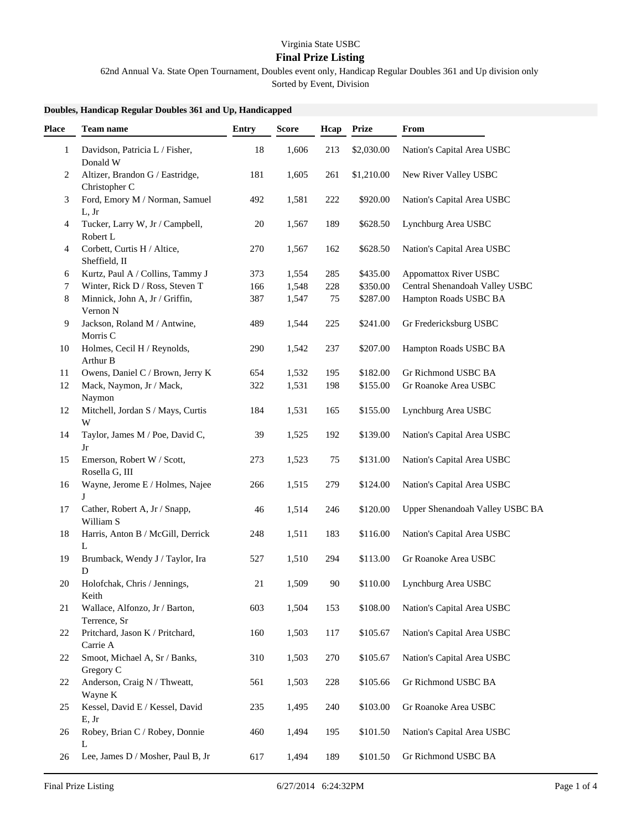## Virginia State USBC

## **Final Prize Listing**

62nd Annual Va. State Open Tournament, Doubles event only, Handicap Regular Doubles 361 and Up division only

Sorted by Event, Division

## **Doubles, Handicap Regular Doubles 361 and Up, Handicapped**

| Place | <b>Team name</b>                                 | <b>Entry</b> | <b>Score</b> | Hcap | <b>Prize</b> | From                            |
|-------|--------------------------------------------------|--------------|--------------|------|--------------|---------------------------------|
| 1     | Davidson, Patricia L / Fisher,<br>Donald W       | 18           | 1,606        | 213  | \$2,030.00   | Nation's Capital Area USBC      |
| 2     | Altizer, Brandon G / Eastridge,<br>Christopher C | 181          | 1,605        | 261  | \$1,210.00   | New River Valley USBC           |
| 3     | Ford, Emory M / Norman, Samuel<br>L, Jr          | 492          | 1,581        | 222  | \$920.00     | Nation's Capital Area USBC      |
| 4     | Tucker, Larry W, Jr / Campbell,<br>Robert L      | 20           | 1,567        | 189  | \$628.50     | Lynchburg Area USBC             |
| 4     | Corbett, Curtis H / Altice,<br>Sheffield, II     | 270          | 1,567        | 162  | \$628.50     | Nation's Capital Area USBC      |
| 6     | Kurtz, Paul A / Collins, Tammy J                 | 373          | 1,554        | 285  | \$435.00     | <b>Appomattox River USBC</b>    |
| 7     | Winter, Rick D / Ross, Steven T                  | 166          | 1,548        | 228  | \$350.00     | Central Shenandoah Valley USBC  |
| 8     | Minnick, John A, Jr / Griffin,<br>Vernon N       | 387          | 1,547        | 75   | \$287.00     | Hampton Roads USBC BA           |
| 9     | Jackson, Roland M / Antwine,<br>Morris C         | 489          | 1,544        | 225  | \$241.00     | Gr Fredericksburg USBC          |
| 10    | Holmes, Cecil H / Reynolds,<br>Arthur B          | 290          | 1,542        | 237  | \$207.00     | Hampton Roads USBC BA           |
| 11    | Owens, Daniel C / Brown, Jerry K                 | 654          | 1,532        | 195  | \$182.00     | Gr Richmond USBC BA             |
| 12    | Mack, Naymon, Jr / Mack,<br>Naymon               | 322          | 1,531        | 198  | \$155.00     | Gr Roanoke Area USBC            |
| 12    | Mitchell, Jordan S / Mays, Curtis<br>W           | 184          | 1,531        | 165  | \$155.00     | Lynchburg Area USBC             |
| 14    | Taylor, James M / Poe, David C,<br>Jr            | 39           | 1,525        | 192  | \$139.00     | Nation's Capital Area USBC      |
| 15    | Emerson, Robert W / Scott,<br>Rosella G, III     | 273          | 1,523        | 75   | \$131.00     | Nation's Capital Area USBC      |
| 16    | Wayne, Jerome E / Holmes, Najee<br>J             | 266          | 1,515        | 279  | \$124.00     | Nation's Capital Area USBC      |
| 17    | Cather, Robert A, Jr / Snapp,<br>William S       | 46           | 1,514        | 246  | \$120.00     | Upper Shenandoah Valley USBC BA |
| 18    | Harris, Anton B / McGill, Derrick<br>L           | 248          | 1,511        | 183  | \$116.00     | Nation's Capital Area USBC      |
| 19    | Brumback, Wendy J / Taylor, Ira<br>D             | 527          | 1,510        | 294  | \$113.00     | Gr Roanoke Area USBC            |
| 20    | Holofchak, Chris / Jennings,<br>Keith            | 21           | 1,509        | 90   | \$110.00     | Lynchburg Area USBC             |
| 21    | Wallace, Alfonzo, Jr / Barton,<br>Terrence, Sr   | 603          | 1,504        | 153  | \$108.00     | Nation's Capital Area USBC      |
| 22    | Pritchard, Jason K / Pritchard,<br>Carrie A      | 160          | 1,503        | 117  | \$105.67     | Nation's Capital Area USBC      |
| 22    | Smoot, Michael A, Sr / Banks,<br>Gregory C       | 310          | 1,503        | 270  | \$105.67     | Nation's Capital Area USBC      |
| 22    | Anderson, Craig N / Thweatt,<br>Wayne K          | 561          | 1,503        | 228  | \$105.66     | Gr Richmond USBC BA             |
| 25    | Kessel, David E / Kessel, David<br>E, Jr         | 235          | 1,495        | 240  | \$103.00     | Gr Roanoke Area USBC            |
| 26    | Robey, Brian C / Robey, Donnie<br>L              | 460          | 1,494        | 195  | \$101.50     | Nation's Capital Area USBC      |
| 26    | Lee, James D / Mosher, Paul B, Jr                | 617          | 1,494        | 189  | \$101.50     | Gr Richmond USBC BA             |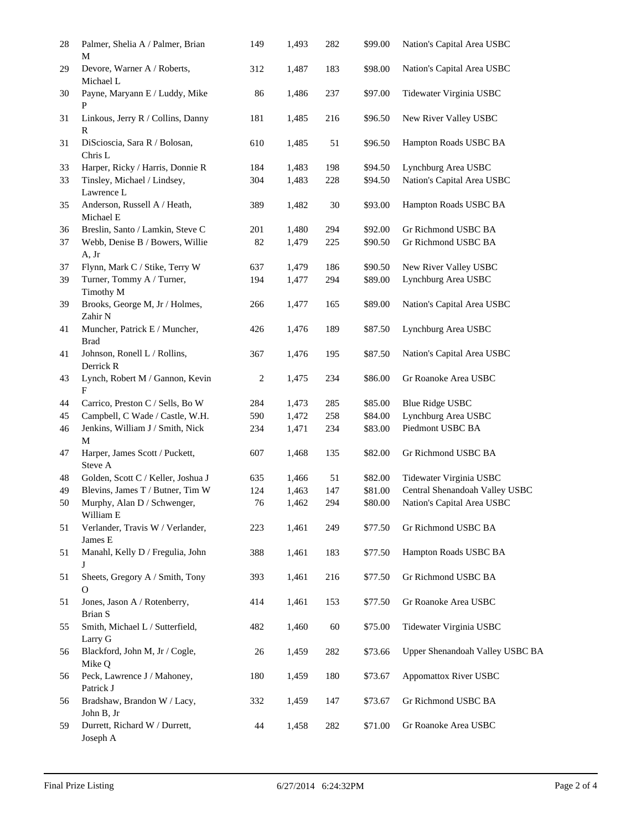| 28       | Palmer, Shelia A / Palmer, Brian<br>М                                        | 149       | 1,493          | 282       | \$99.00            | Nation's Capital Area USBC                      |
|----------|------------------------------------------------------------------------------|-----------|----------------|-----------|--------------------|-------------------------------------------------|
| 29       | Devore, Warner A / Roberts,<br>Michael L                                     | 312       | 1,487          | 183       | \$98.00            | Nation's Capital Area USBC                      |
| 30       | Payne, Maryann E / Luddy, Mike<br>P                                          | 86        | 1,486          | 237       | \$97.00            | Tidewater Virginia USBC                         |
| 31       | Linkous, Jerry R / Collins, Danny<br>R                                       | 181       | 1,485          | 216       | \$96.50            | New River Valley USBC                           |
| 31       | DiScioscia, Sara R / Bolosan,<br>Chris L                                     | 610       | 1,485          | 51        | \$96.50            | Hampton Roads USBC BA                           |
| 33       | Harper, Ricky / Harris, Donnie R                                             | 184       | 1,483          | 198       | \$94.50            | Lynchburg Area USBC                             |
| 33       | Tinsley, Michael / Lindsey,                                                  | 304       | 1,483          | 228       | \$94.50            | Nation's Capital Area USBC                      |
|          | Lawrence L                                                                   |           |                |           |                    |                                                 |
| 35       | Anderson, Russell A / Heath,<br>Michael E                                    | 389       | 1,482          | 30        | \$93.00            | Hampton Roads USBC BA                           |
| 36       | Breslin, Santo / Lamkin, Steve C                                             | 201       | 1,480          | 294       | \$92.00            | Gr Richmond USBC BA                             |
| 37       | Webb, Denise B / Bowers, Willie                                              | 82        | 1,479          | 225       | \$90.50            | Gr Richmond USBC BA                             |
|          | A, Jr                                                                        |           |                |           |                    |                                                 |
| 37       | Flynn, Mark C / Stike, Terry W                                               | 637       | 1,479          | 186       | \$90.50            | New River Valley USBC                           |
| 39       | Turner, Tommy A / Turner,<br>Timothy M                                       | 194       | 1,477          | 294       | \$89.00            | Lynchburg Area USBC                             |
| 39       | Brooks, George M, Jr / Holmes,<br>Zahir N                                    | 266       | 1,477          | 165       | \$89.00            | Nation's Capital Area USBC                      |
| 41       | Muncher, Patrick E / Muncher,<br><b>Brad</b>                                 | 426       | 1,476          | 189       | \$87.50            | Lynchburg Area USBC                             |
| 41       | Johnson, Ronell L / Rollins,<br>Derrick R                                    | 367       | 1,476          | 195       | \$87.50            | Nation's Capital Area USBC                      |
| 43       | Lynch, Robert M / Gannon, Kevin<br>F                                         | 2         | 1,475          | 234       | \$86.00            | Gr Roanoke Area USBC                            |
| 44       | Carrico, Preston C / Sells, Bo W                                             | 284       | 1,473          | 285       | \$85.00            | <b>Blue Ridge USBC</b>                          |
| 45       | Campbell, C Wade / Castle, W.H.                                              | 590       | 1,472          | 258       | \$84.00            | Lynchburg Area USBC                             |
| 46       | Jenkins, William J / Smith, Nick<br>M                                        | 234       | 1,471          | 234       | \$83.00            | Piedmont USBC BA                                |
| 47       | Harper, James Scott / Puckett,<br>Steve A                                    | 607       | 1,468          | 135       | \$82.00            | Gr Richmond USBC BA                             |
| 48       | Golden, Scott C / Keller, Joshua J                                           | 635       | 1,466          | 51        | \$82.00            | Tidewater Virginia USBC                         |
| 49       | Blevins, James T / Butner, Tim W                                             | 124       | 1,463          | 147       | \$81.00            | Central Shenandoah Valley USBC                  |
| 50       | Murphy, Alan D / Schwenger,<br>William E                                     | 76        | 1,462          | 294       | \$80.00            | Nation's Capital Area USBC                      |
| 51       | Verlander, Travis W / Verlander,<br>James E                                  | 223       | 1,461          | 249       | \$77.50            | Gr Richmond USBC BA                             |
| 51       | Manahl, Kelly D / Fregulia, John<br>J                                        | 388       | 1,461          | 183       | \$77.50            | Hampton Roads USBC BA                           |
| 51       | Sheets, Gregory A / Smith, Tony<br>$\Omega$                                  | 393       | 1,461          | 216       | \$77.50            | Gr Richmond USBC BA                             |
| 51       | Jones, Jason A / Rotenberry,<br>Brian S                                      | 414       | 1,461          | 153       | \$77.50            | Gr Roanoke Area USBC<br>Tidewater Virginia USBC |
| 55       | Smith, Michael L / Sutterfield,<br>Larry G<br>Blackford, John M, Jr / Cogle, | 482       | 1,460          | 60<br>282 | \$75.00<br>\$73.66 | Upper Shenandoah Valley USBC BA                 |
| 56       | Mike Q<br>Peck, Lawrence J / Mahoney,                                        | 26<br>180 | 1,459<br>1,459 | 180       | \$73.67            | <b>Appomattox River USBC</b>                    |
| 56<br>56 | Patrick J<br>Bradshaw, Brandon W / Lacy,                                     | 332       | 1,459          | 147       | \$73.67            | Gr Richmond USBC BA                             |
|          | John B, Jr                                                                   |           |                |           |                    |                                                 |
| 59       | Durrett, Richard W / Durrett,<br>Joseph A                                    | 44        | 1,458          | 282       | \$71.00            | Gr Roanoke Area USBC                            |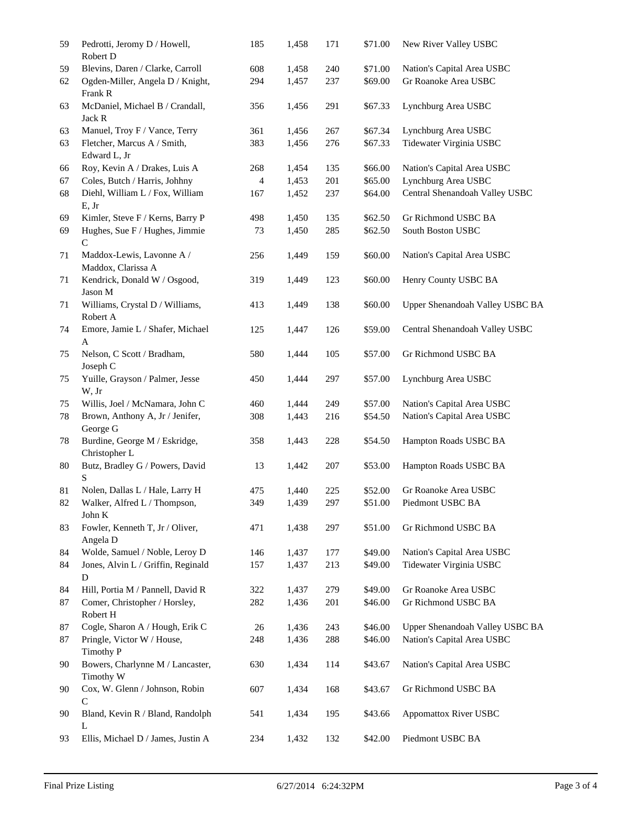| 59 | Pedrotti, Jeromy D / Howell,<br>Robert D        | 185            | 1,458 | 171 | \$71.00 | New River Valley USBC           |
|----|-------------------------------------------------|----------------|-------|-----|---------|---------------------------------|
| 59 | Blevins, Daren / Clarke, Carroll                | 608            | 1,458 | 240 | \$71.00 | Nation's Capital Area USBC      |
| 62 | Ogden-Miller, Angela D / Knight,<br>Frank R     | 294            | 1,457 | 237 | \$69.00 | Gr Roanoke Area USBC            |
| 63 | McDaniel, Michael B / Crandall,<br>Jack R       | 356            | 1,456 | 291 | \$67.33 | Lynchburg Area USBC             |
| 63 | Manuel, Troy F / Vance, Terry                   | 361            | 1,456 | 267 | \$67.34 | Lynchburg Area USBC             |
| 63 | Fletcher, Marcus A / Smith,<br>Edward L, Jr     | 383            | 1,456 | 276 | \$67.33 | Tidewater Virginia USBC         |
| 66 | Roy, Kevin A / Drakes, Luis A                   | 268            | 1,454 | 135 | \$66.00 | Nation's Capital Area USBC      |
| 67 | Coles, Butch / Harris, Johhny                   | $\overline{4}$ | 1,453 | 201 | \$65.00 | Lynchburg Area USBC             |
| 68 | Diehl, William L / Fox, William<br>E, Jr        | 167            | 1,452 | 237 | \$64.00 | Central Shenandoah Valley USBC  |
| 69 | Kimler, Steve F / Kerns, Barry P                | 498            | 1,450 | 135 | \$62.50 | Gr Richmond USBC BA             |
| 69 | Hughes, Sue F / Hughes, Jimmie<br>$\mathcal{C}$ | 73             | 1,450 | 285 | \$62.50 | South Boston USBC               |
| 71 | Maddox-Lewis, Lavonne A /<br>Maddox, Clarissa A | 256            | 1,449 | 159 | \$60.00 | Nation's Capital Area USBC      |
| 71 | Kendrick, Donald W / Osgood,<br>Jason M         | 319            | 1,449 | 123 | \$60.00 | Henry County USBC BA            |
| 71 | Williams, Crystal D / Williams,<br>Robert A     | 413            | 1,449 | 138 | \$60.00 | Upper Shenandoah Valley USBC BA |
| 74 | Emore, Jamie L / Shafer, Michael<br>A           | 125            | 1,447 | 126 | \$59.00 | Central Shenandoah Valley USBC  |
| 75 | Nelson, C Scott / Bradham,<br>Joseph C          | 580            | 1,444 | 105 | \$57.00 | Gr Richmond USBC BA             |
| 75 | Yuille, Grayson / Palmer, Jesse<br>W, Jr        | 450            | 1,444 | 297 | \$57.00 | Lynchburg Area USBC             |
| 75 | Willis, Joel / McNamara, John C                 | 460            | 1,444 | 249 | \$57.00 | Nation's Capital Area USBC      |
| 78 | Brown, Anthony A, Jr / Jenifer,<br>George G     | 308            | 1,443 | 216 | \$54.50 | Nation's Capital Area USBC      |
| 78 | Burdine, George M / Eskridge,<br>Christopher L  | 358            | 1,443 | 228 | \$54.50 | Hampton Roads USBC BA           |
| 80 | Butz, Bradley G / Powers, David<br>S            | 13             | 1,442 | 207 | \$53.00 | Hampton Roads USBC BA           |
| 81 | Nolen, Dallas L / Hale, Larry H                 | 475            | 1,440 | 225 | \$52.00 | Gr Roanoke Area USBC            |
| 82 | Walker, Alfred L / Thompson,<br>John K          | 349            | 1,439 | 297 | \$51.00 | Piedmont USBC BA                |
| 83 | Fowler, Kenneth T, Jr / Oliver,<br>Angela D     | 471            | 1,438 | 297 | \$51.00 | Gr Richmond USBC BA             |
| 84 | Wolde, Samuel / Noble, Leroy D                  | 146            | 1,437 | 177 | \$49.00 | Nation's Capital Area USBC      |
| 84 | Jones, Alvin L / Griffin, Reginald<br>${\bf D}$ | 157            | 1,437 | 213 | \$49.00 | Tidewater Virginia USBC         |
| 84 | Hill, Portia M / Pannell, David R               | 322            | 1,437 | 279 | \$49.00 | Gr Roanoke Area USBC            |
| 87 | Comer, Christopher / Horsley,<br>Robert H       | 282            | 1,436 | 201 | \$46.00 | Gr Richmond USBC BA             |
| 87 | Cogle, Sharon A / Hough, Erik C                 | $26\,$         | 1,436 | 243 | \$46.00 | Upper Shenandoah Valley USBC BA |
| 87 | Pringle, Victor W / House,<br>Timothy P         | 248            | 1,436 | 288 | \$46.00 | Nation's Capital Area USBC      |
| 90 | Bowers, Charlynne M / Lancaster,<br>Timothy W   | 630            | 1,434 | 114 | \$43.67 | Nation's Capital Area USBC      |
| 90 | Cox, W. Glenn / Johnson, Robin<br>C             | 607            | 1,434 | 168 | \$43.67 | Gr Richmond USBC BA             |
| 90 | Bland, Kevin R / Bland, Randolph<br>L           | 541            | 1,434 | 195 | \$43.66 | Appomattox River USBC           |
| 93 | Ellis, Michael D / James, Justin A              | 234            | 1,432 | 132 | \$42.00 | Piedmont USBC BA                |